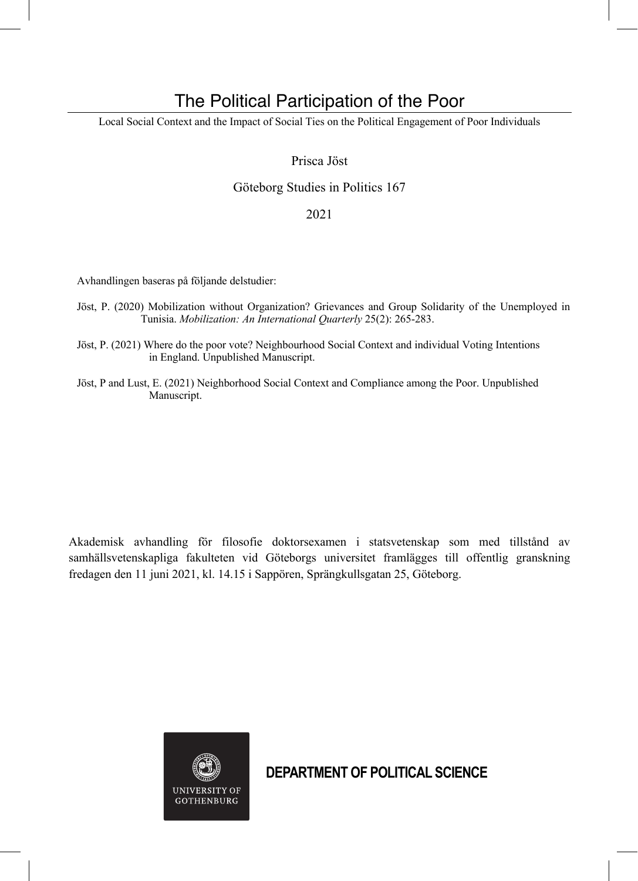# The Political Participation of the Poor

Local Social Context and the Impact of Social Ties on the Political Engagement of Poor Individuals

## Prisca Jöst

# Göteborg Studies in Politics 167

### 2021

Avhandlingen baseras på följande delstudier:

- Jöst, P. (2020) Mobilization without Organization? Grievances and Group Solidarity of the Unemployed in Tunisia. *Mobilization: An International Quarterly* 25(2): 265-283.
- Jöst, P. (2021) Where do the poor vote? Neighbourhood Social Context and individual Voting Intentions in England. Unpublished Manuscript.
- Jöst, P and Lust, E. (2021) Neighborhood Social Context and Compliance among the Poor. Unpublished Manuscript.

Akademisk avhandling för filosofie doktorsexamen i statsvetenskap som med tillstånd av samhällsvetenskapliga fakulteten vid Göteborgs universitet framlägges till offentlig granskning fredagen den 11 juni 2021, kl. 14.15 i Sappören, Sprängkullsgatan 25, Göteborg.



**DEPARTMENT OF POLITICAL SCIENCE**